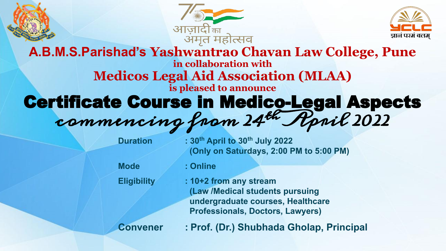





# **A.B.M.S.Parishad's Yashwantrao Chavan Law College, Pune in collaboration with Medicos Legal Aid Association (MLAA) is pleased to announce** Certificate Course in Medico-Legal Aspects commencing from 24th April 2022

| <b>Duration</b>    | : 30th April to 30th July 2022<br>(Only on Saturdays, 2:00 PM to 5:00 PM)                                                                 |
|--------------------|-------------------------------------------------------------------------------------------------------------------------------------------|
| <b>Mode</b>        | : Online                                                                                                                                  |
| <b>Eligibility</b> | : 10+2 from any stream<br>(Law /Medical students pursuing<br>undergraduate courses, Healthcare<br><b>Professionals, Doctors, Lawyers)</b> |
| <b>Convener</b>    | : Prof. (Dr.) Shubhada Gholap, Principal                                                                                                  |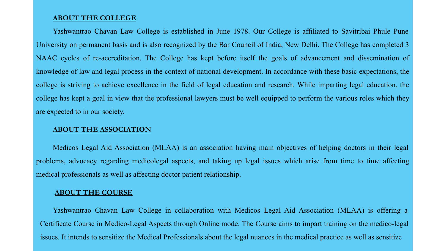#### **ABOUT THE COLLEGE**

Yashwantrao Chavan Law College is established in June 1978. Our College is affiliated to Savitribai Phule Pune University on permanent basis and is also recognized by the Bar Council of India, New Delhi. The College has completed 3 NAAC cycles of re-accreditation. The College has kept before itself the goals of advancement and dissemination of knowledge of law and legal process in the context of national development. In accordance with these basic expectations, the college is striving to achieve excellence in the field of legal education and research. While imparting legal education, the college has kept a goal in view that the professional lawyers must be well equipped to perform the various roles which they are expected to in our society.

#### **ABOUT THE ASSOCIATION**

Medicos Legal Aid Association (MLAA) is an association having main objectives of helping doctors in their legal problems, advocacy regarding medicolegal aspects, and taking up legal issues which arise from time to time affecting medical professionals as well as affecting doctor patient relationship.

### **ABOUT THE COURSE**

Yashwantrao Chavan Law College in collaboration with Medicos Legal Aid Association (MLAA) is offering a Certificate Course in Medico-Legal Aspects through Online mode. The Course aims to impart training on the medico-legal issues. It intends to sensitize the Medical Professionals about the legal nuances in the medical practice as well as sensitize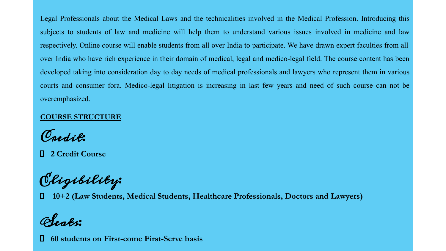Legal Professionals about the Medical Laws and the technicalities involved in the Medical Profession. Introducing this subjects to students of law and medicine will help them to understand various issues involved in medicine and law respectively. Online course will enable students from all over India to participate. We have drawn expert faculties from all over India who have rich experience in their domain of medical, legal and medico-legal field. The course content has been developed taking into consideration day to day needs of medical professionals and lawyers who represent them in various courts and consumer fora. Medico-legal litigation is increasing in last few years and need of such course can not be overemphasized.

## **COURSE STRUCTURE**

Credit:

**2 Credit Course**

Eligibility:

**10+2 (Law Students, Medical Students, Healthcare Professionals, Doctors and Lawyers)**

Seats:

**60 students on First-come First-Serve basis**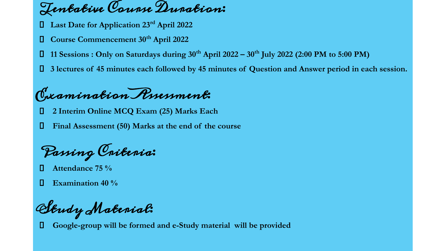Tentative Course Duration:

- **Last Date for Application 23rd April 2022**
- **Course Commencement 30th April 2022**
- **11 Sessions : Only on Saturdays during 30th April 2022 30th July 2022 (2:00 PM to 5:00 PM)**
- **3 lectures of 45 minutes each followed by 45 minutes of Question and Answer period in each session.**

Examination Assessment:

- **2 Interim Online MCQ Exam (25) Marks Each**
- **Final Assessment (50) Marks at the end of the course**

Passing Criteria:

- **Attendance 75 %**
- **Examination 40 %**

Study Material:

**Google-group will be formed and e-Study material will be provided**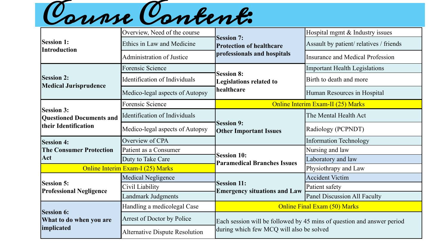

|                                                      | Overview, Need of the course          |                                                           | Hospital mgmt & Industry issues                                        |
|------------------------------------------------------|---------------------------------------|-----------------------------------------------------------|------------------------------------------------------------------------|
| <b>Session 1:</b><br>Introduction                    | Ethics in Law and Medicine            | <b>Session 7:</b><br><b>Protection of healthcare</b>      | Assault by patient/ relatives / friends                                |
|                                                      | <b>Administration of Justice</b>      | professionals and hospitals                               | Insurance and Medical Profession                                       |
|                                                      | <b>Forensic Science</b>               |                                                           | <b>Important Health Legislations</b>                                   |
| <b>Session 2:</b><br><b>Medical Jurisprudence</b>    | Identification of Individuals         | <b>Session 8:</b><br><b>Legislations related to</b>       | Birth to death and more                                                |
|                                                      | Medico-legal aspects of Autopsy       | healthcare                                                | Human Resources in Hospital                                            |
|                                                      | Forensic Science                      |                                                           | <b>Online Interim Exam-II (25) Marks</b>                               |
| <b>Session 3:</b><br><b>Questioned Documents and</b> | Identification of Individuals         |                                                           | The Mental Health Act                                                  |
| ltheir Identification                                | Medico-legal aspects of Autopsy       | <b>Session 9:</b><br><b>Other Important Issues</b>        | <b>Radiology (PCPNDT)</b>                                              |
| <b>Session 4:</b>                                    | Overview of CPA                       |                                                           | Information Technology                                                 |
| <b>The Consumer Protection</b>                       | Patient as a Consumer                 | <b>Session 10:</b><br><b>Paramedical Branches Issues</b>  | Nursing and law                                                        |
| Act                                                  | Duty to Take Care                     |                                                           | Laboratory and law                                                     |
| <b>Online Interim Exam-I (25) Marks</b>              |                                       |                                                           | Physiothrapy and Law                                                   |
|                                                      | <b>Medical Negligence</b>             |                                                           | <b>Accident Victim</b>                                                 |
| <b>Session 5:</b><br><b>Professional Negligence</b>  | Civil Liability                       | <b>Session 11:</b><br><b>Emergency situations and Law</b> | Patient safety                                                         |
|                                                      | <b>Landmark Judgments</b>             |                                                           | Panel Discussion All Faculty                                           |
| <b>Session 6:</b>                                    | Handling a medicolegal Case           | <b>Online Final Exam (50) Marks</b>                       |                                                                        |
| What to do when you are                              | Arrest of Doctor by Police            |                                                           | Each session will be followed by 45 mins of question and answer period |
| implicated                                           | <b>Alternative Dispute Resolution</b> | during which few MCQ will also be solved                  |                                                                        |